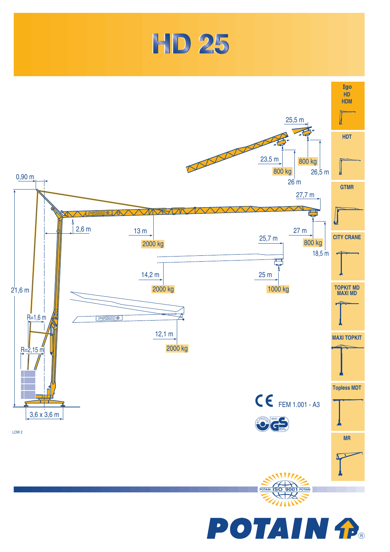



**POTAIN fra**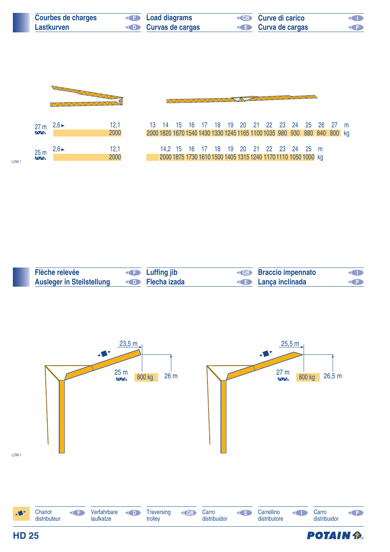| <b>Courbes de charges</b> | <b>Example 2</b> Load diagrams    | <b>ED</b> Curve di carico | <b>KID</b> |
|---------------------------|-----------------------------------|---------------------------|------------|
| Lastkurven                | <b>Example 2 Curvas de cargas</b> | <b>E</b> Curva de cargas  | <b>KP</b>  |

**AAAAAAAAAA** 



| 27 <sub>m</sub> | $2,6 \blacktriangleright$ | 12,1 |
|-----------------|---------------------------|------|
| <b>AVV</b>      |                           | 2000 |
|                 |                           |      |
| 25 <sub>m</sub> | $2,6 \blacktriangleright$ | 12,1 |
| $\sqrt{N}$      |                           | 2000 |

| 12,1<br>2000 | 2000 1820 1670 1540 1430 1330 1245 1165 1100 1035 980 930 880 840 800 kg |                                                                                                           |  |  |  |  |  |  | 13 14 15 16 17 18 19 20 21 22 23 24 25 26 27 m |  |
|--------------|--------------------------------------------------------------------------|-----------------------------------------------------------------------------------------------------------|--|--|--|--|--|--|------------------------------------------------|--|
| 12,1<br>2000 |                                                                          | 14,2 15 16 17 18 19 20 21 22 23 24 25 m<br>2000 1875 1730 1610 1500 1405 1315 1240 1170 1110 1050 1000 kg |  |  |  |  |  |  |                                                |  |

**TENWWWW** 

| Flèche relevée                   | <b>Example 19 Luffing jib</b>      | <b>KGB</b> Braccio impennato | <b>CHIP</b> |
|----------------------------------|------------------------------------|------------------------------|-------------|
| <b>Ausleger in Steilstellung</b> | <b>Example School</b> Flecha izada | <b>E</b> Lança inclinada     |             |





LOW 1

LOW 1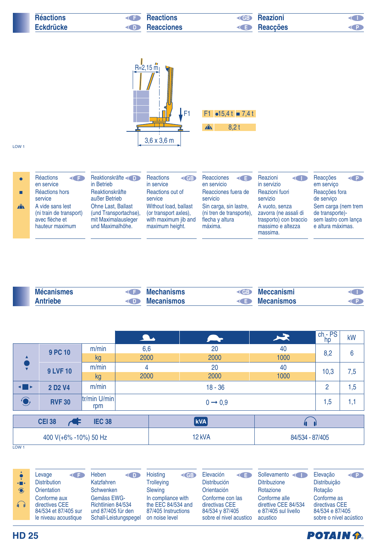| <b>Réactions</b> | <b>Reactions</b><br><b>KIM</b> | <b>Reazioni</b><br>$\left($ GB $\right)$ |  |
|------------------|--------------------------------|------------------------------------------|--|
| <b>Eckdrücke</b> | Reacciones<br><b>KID</b>       | <b>E</b> Reacções                        |  |



LOW 1

|              | Réactions<br><b>KED</b><br>en service<br>Réactions hors<br>service               | Reaktionskräfte<br>in Betrieb<br>Reaktionskräfte<br>außer Betrieb                             | <b>Reactions</b><br>$\triangleleft$ GB<br>in service<br>Reactions out of<br>service       | Reacciones<br>K∎<br>en servicio<br>Reacciones fuera de<br>servicio               | Reazioni<br>$\lhd$<br>in servizio<br>Reazioni fuori<br>servizio                                    | Reaccões<br>$\left( 1\right)$<br>em serviço<br>Reaccões fora<br>de servico          |  |
|--------------|----------------------------------------------------------------------------------|-----------------------------------------------------------------------------------------------|-------------------------------------------------------------------------------------------|----------------------------------------------------------------------------------|----------------------------------------------------------------------------------------------------|-------------------------------------------------------------------------------------|--|
| $\mathbf{A}$ | A vide sans lest<br>(ni train de transport)<br>avec flèche et<br>hauteur maximum | <b>Ohne Last, Ballast</b><br>(und Transportachse),<br>mit Maximalausleger<br>und Maximalhöhe. | Without load, ballast<br>(or transport axles),<br>with maximum jib and<br>maximum height. | Sin carga, sin lastre,<br>(ni tren de transporte),<br>flecha y altura<br>máxima. | A vuoto, senza<br>zavorra (ne assali di<br>trasporto) con braccio<br>massimo e altezza<br>massima. | Sem carga (nem trem<br>de transporte)-<br>sem lastro com lança<br>e altura máximas. |  |

| <b>Mécanismes</b> |                | <b>Mechanisms</b> | K GBD              | eccanismi         |  |
|-------------------|----------------|-------------------|--------------------|-------------------|--|
| <b>ntrighe</b>    | $\blacksquare$ | <b>Mecanismos</b> | $\left($ $\right)$ | <b>Mecanismos</b> |  |

|                       |                                 |                     | <b>A</b> | <b>Service</b>      | $\blacktriangleright$ | $\frac{\text{ch}-\text{PS}}{\text{hp}}$ | kW  |  |
|-----------------------|---------------------------------|---------------------|----------|---------------------|-----------------------|-----------------------------------------|-----|--|
|                       | <b>9 PC 10</b>                  | m/min               | 6,6      | 20                  | 40                    | 8,2                                     | 6   |  |
|                       |                                 | kg                  | 2000     | 2000                | 1000                  |                                         |     |  |
|                       | <b>9 LVF 10</b>                 | m/min               | 4        | 20                  | 40                    | 10,3                                    | 7,5 |  |
|                       |                                 | kg                  | 2000     | 2000                | 1000                  |                                         |     |  |
| ◂Ш►                   | 2 D <sub>2</sub> V <sub>4</sub> | m/min               |          | $18 - 36$           |                       |                                         | 1,5 |  |
| $\bigodot$            | <b>RVF 30</b>                   | tr/min U/min<br>rpm |          | $0 \rightarrow 0.9$ |                       |                                         |     |  |
|                       | <b>CEI 38</b><br>Æ              | <b>IEC 38</b>       |          | <b>kVA</b>          |                       |                                         |     |  |
|                       |                                 |                     |          |                     |                       |                                         |     |  |
| 400 V(+6% -10%) 50 Hz |                                 |                     |          | 12 kVA              |                       | 84/534 - 87/405                         |     |  |

LOW<sub>1</sub>